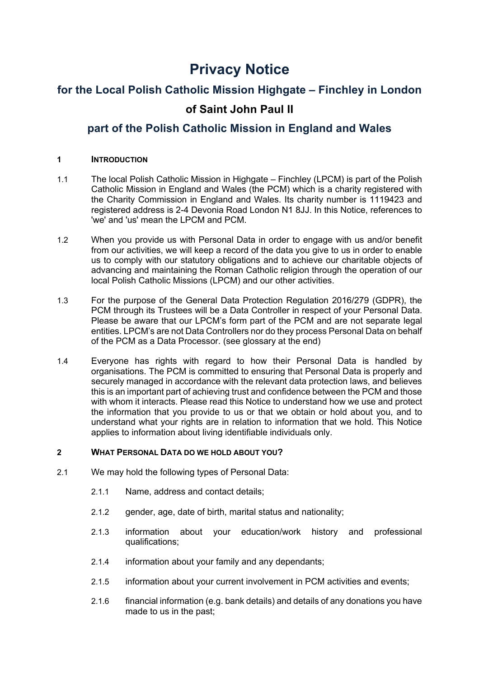# **Privacy Notice**

# **for the Local Polish Catholic Mission Highgate – Finchley in London of Saint John Paul II**

# **part of the Polish Catholic Mission in England and Wales**

# **1 INTRODUCTION**

- 1.1 The local Polish Catholic Mission in Highgate Finchley (LPCM) is part of the Polish Catholic Mission in England and Wales (the PCM) which is a charity registered with the Charity Commission in England and Wales. Its charity number is 1119423 and registered address is 2-4 Devonia Road London N1 8JJ. In this Notice, references to 'we' and 'us' mean the LPCM and PCM.
- 1.2 When you provide us with Personal Data in order to engage with us and/or benefit from our activities, we will keep a record of the data you give to us in order to enable us to comply with our statutory obligations and to achieve our charitable objects of advancing and maintaining the Roman Catholic religion through the operation of our local Polish Catholic Missions (LPCM) and our other activities.
- 1.3 For the purpose of the General Data Protection Regulation 2016/279 (GDPR), the PCM through its Trustees will be a Data Controller in respect of your Personal Data. Please be aware that our LPCM's form part of the PCM and are not separate legal entities. LPCM's are not Data Controllers nor do they process Personal Data on behalf of the PCM as a Data Processor. (see glossary at the end)
- 1.4 Everyone has rights with regard to how their Personal Data is handled by organisations. The PCM is committed to ensuring that Personal Data is properly and securely managed in accordance with the relevant data protection laws, and believes this is an important part of achieving trust and confidence between the PCM and those with whom it interacts. Please read this Notice to understand how we use and protect the information that you provide to us or that we obtain or hold about you, and to understand what your rights are in relation to information that we hold. This Notice applies to information about living identifiable individuals only.

# **2 WHAT PERSONAL DATA DO WE HOLD ABOUT YOU?**

- 2.1 We may hold the following types of Personal Data:
	- 2.1.1 Name, address and contact details;
	- 2.1.2 gender, age, date of birth, marital status and nationality;
	- 2.1.3 information about your education/work history and professional qualifications;
	- 2.1.4 information about your family and any dependants;
	- 2.1.5 information about your current involvement in PCM activities and events;
	- 2.1.6 financial information (e.g. bank details) and details of any donations you have made to us in the past;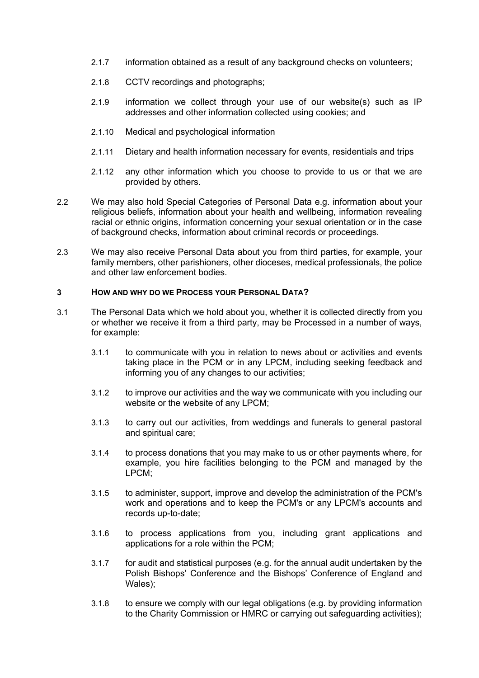- 2.1.7 information obtained as a result of any background checks on volunteers;
- 2.1.8 CCTV recordings and photographs;
- 2.1.9 information we collect through your use of our website(s) such as IP addresses and other information collected using cookies; and
- 2.1.10 Medical and psychological information
- 2.1.11 Dietary and health information necessary for events, residentials and trips
- 2.1.12 any other information which you choose to provide to us or that we are provided by others.
- 2.2 We may also hold Special Categories of Personal Data e.g. information about your religious beliefs, information about your health and wellbeing, information revealing racial or ethnic origins, information concerning your sexual orientation or in the case of background checks, information about criminal records or proceedings.
- 2.3 We may also receive Personal Data about you from third parties, for example, your family members, other parishioners, other dioceses, medical professionals, the police and other law enforcement bodies.

### **3 HOW AND WHY DO WE PROCESS YOUR PERSONAL DATA?**

- 3.1 The Personal Data which we hold about you, whether it is collected directly from you or whether we receive it from a third party, may be Processed in a number of ways, for example:
	- 3.1.1 to communicate with you in relation to news about or activities and events taking place in the PCM or in any LPCM, including seeking feedback and informing you of any changes to our activities;
	- 3.1.2 to improve our activities and the way we communicate with you including our website or the website of any LPCM;
	- 3.1.3 to carry out our activities, from weddings and funerals to general pastoral and spiritual care;
	- 3.1.4 to process donations that you may make to us or other payments where, for example, you hire facilities belonging to the PCM and managed by the LPCM;
	- 3.1.5 to administer, support, improve and develop the administration of the PCM's work and operations and to keep the PCM's or any LPCM's accounts and records up-to-date;
	- 3.1.6 to process applications from you, including grant applications and applications for a role within the PCM;
	- 3.1.7 for audit and statistical purposes (e.g. for the annual audit undertaken by the Polish Bishops' Conference and the Bishops' Conference of England and Wales);
	- 3.1.8 to ensure we comply with our legal obligations (e.g. by providing information to the Charity Commission or HMRC or carrying out safeguarding activities);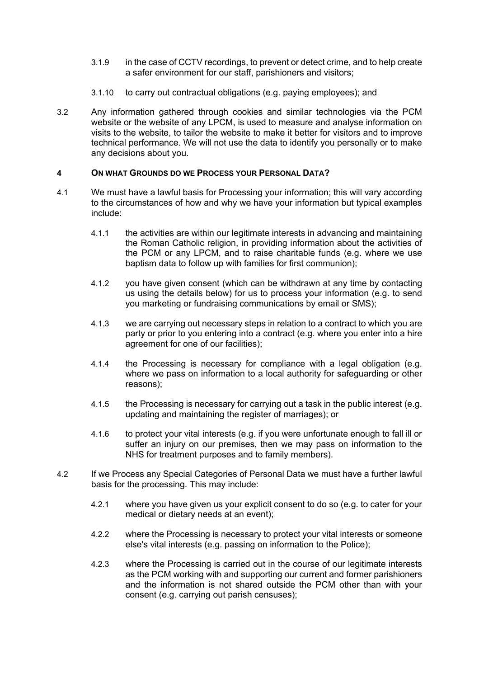- 3.1.9 in the case of CCTV recordings, to prevent or detect crime, and to help create a safer environment for our staff, parishioners and visitors;
- 3.1.10 to carry out contractual obligations (e.g. paying employees); and
- 3.2 Any information gathered through cookies and similar technologies via the PCM website or the website of any LPCM, is used to measure and analyse information on visits to the website, to tailor the website to make it better for visitors and to improve technical performance. We will not use the data to identify you personally or to make any decisions about you.

### **4 ON WHAT GROUNDS DO WE PROCESS YOUR PERSONAL DATA?**

- 4.1 We must have a lawful basis for Processing your information; this will vary according to the circumstances of how and why we have your information but typical examples include:
	- 4.1.1 the activities are within our legitimate interests in advancing and maintaining the Roman Catholic religion, in providing information about the activities of the PCM or any LPCM, and to raise charitable funds (e.g. where we use baptism data to follow up with families for first communion);
	- 4.1.2 you have given consent (which can be withdrawn at any time by contacting us using the details below) for us to process your information (e.g. to send you marketing or fundraising communications by email or SMS);
	- 4.1.3 we are carrying out necessary steps in relation to a contract to which you are party or prior to you entering into a contract (e.g. where you enter into a hire agreement for one of our facilities);
	- 4.1.4 the Processing is necessary for compliance with a legal obligation (e.g. where we pass on information to a local authority for safeguarding or other reasons);
	- 4.1.5 the Processing is necessary for carrying out a task in the public interest (e.g. updating and maintaining the register of marriages); or
	- 4.1.6 to protect your vital interests (e.g. if you were unfortunate enough to fall ill or suffer an injury on our premises, then we may pass on information to the NHS for treatment purposes and to family members).
- 4.2 If we Process any Special Categories of Personal Data we must have a further lawful basis for the processing. This may include:
	- 4.2.1 where you have given us your explicit consent to do so (e.g. to cater for your medical or dietary needs at an event);
	- 4.2.2 where the Processing is necessary to protect your vital interests or someone else's vital interests (e.g. passing on information to the Police);
	- 4.2.3 where the Processing is carried out in the course of our legitimate interests as the PCM working with and supporting our current and former parishioners and the information is not shared outside the PCM other than with your consent (e.g. carrying out parish censuses);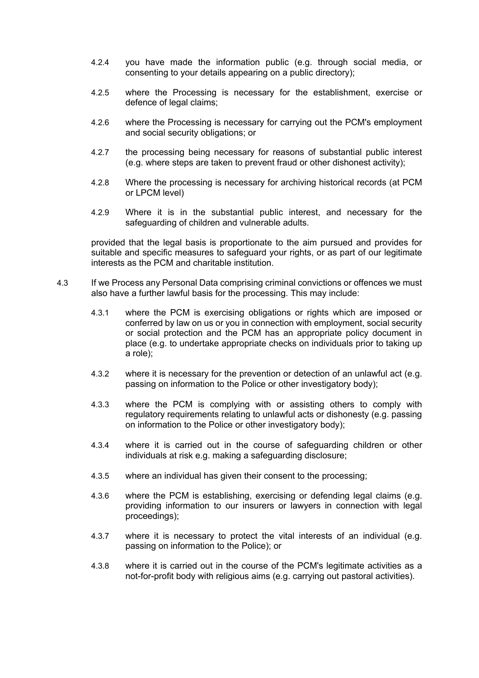- 4.2.4 you have made the information public (e.g. through social media, or consenting to your details appearing on a public directory);
- 4.2.5 where the Processing is necessary for the establishment, exercise or defence of legal claims;
- 4.2.6 where the Processing is necessary for carrying out the PCM's employment and social security obligations; or
- 4.2.7 the processing being necessary for reasons of substantial public interest (e.g. where steps are taken to prevent fraud or other dishonest activity);
- 4.2.8 Where the processing is necessary for archiving historical records (at PCM or LPCM level)
- 4.2.9 Where it is in the substantial public interest, and necessary for the safeguarding of children and vulnerable adults.

provided that the legal basis is proportionate to the aim pursued and provides for suitable and specific measures to safeguard your rights, or as part of our legitimate interests as the PCM and charitable institution.

- 4.3 If we Process any Personal Data comprising criminal convictions or offences we must also have a further lawful basis for the processing. This may include:
	- 4.3.1 where the PCM is exercising obligations or rights which are imposed or conferred by law on us or you in connection with employment, social security or social protection and the PCM has an appropriate policy document in place (e.g. to undertake appropriate checks on individuals prior to taking up a role);
	- 4.3.2 where it is necessary for the prevention or detection of an unlawful act (e.g. passing on information to the Police or other investigatory body);
	- 4.3.3 where the PCM is complying with or assisting others to comply with regulatory requirements relating to unlawful acts or dishonesty (e.g. passing on information to the Police or other investigatory body);
	- 4.3.4 where it is carried out in the course of safeguarding children or other individuals at risk e.g. making a safeguarding disclosure;
	- 4.3.5 where an individual has given their consent to the processing;
	- 4.3.6 where the PCM is establishing, exercising or defending legal claims (e.g. providing information to our insurers or lawyers in connection with legal proceedings);
	- 4.3.7 where it is necessary to protect the vital interests of an individual (e.g. passing on information to the Police); or
	- 4.3.8 where it is carried out in the course of the PCM's legitimate activities as a not-for-profit body with religious aims (e.g. carrying out pastoral activities).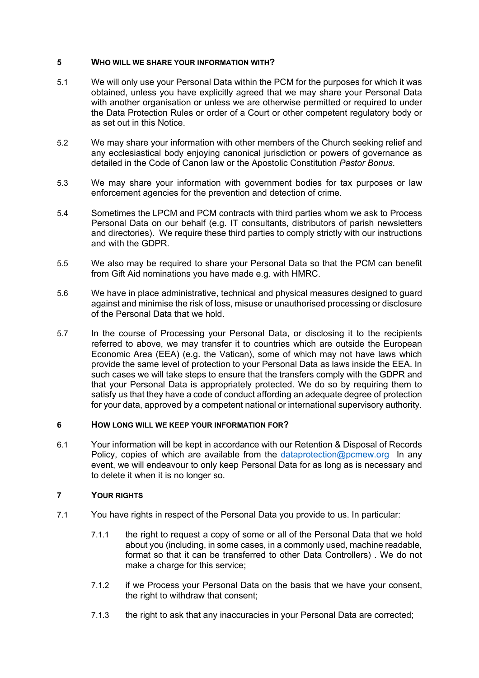### **5 WHO WILL WE SHARE YOUR INFORMATION WITH?**

- 5.1 We will only use your Personal Data within the PCM for the purposes for which it was obtained, unless you have explicitly agreed that we may share your Personal Data with another organisation or unless we are otherwise permitted or required to under the Data Protection Rules or order of a Court or other competent regulatory body or as set out in this Notice.
- 5.2 We may share your information with other members of the Church seeking relief and any ecclesiastical body enjoying canonical jurisdiction or powers of governance as detailed in the Code of Canon law or the Apostolic Constitution *Pastor Bonus*.
- 5.3 We may share your information with government bodies for tax purposes or law enforcement agencies for the prevention and detection of crime.
- 5.4 Sometimes the LPCM and PCM contracts with third parties whom we ask to Process Personal Data on our behalf (e.g. IT consultants, distributors of parish newsletters and directories). We require these third parties to comply strictly with our instructions and with the GDPR.
- 5.5 We also may be required to share your Personal Data so that the PCM can benefit from Gift Aid nominations you have made e.g. with HMRC.
- 5.6 We have in place administrative, technical and physical measures designed to guard against and minimise the risk of loss, misuse or unauthorised processing or disclosure of the Personal Data that we hold.
- 5.7 In the course of Processing your Personal Data, or disclosing it to the recipients referred to above, we may transfer it to countries which are outside the European Economic Area (EEA) (e.g. the Vatican), some of which may not have laws which provide the same level of protection to your Personal Data as laws inside the EEA. In such cases we will take steps to ensure that the transfers comply with the GDPR and that your Personal Data is appropriately protected. We do so by requiring them to satisfy us that they have a code of conduct affording an adequate degree of protection for your data, approved by a competent national or international supervisory authority.

#### **6 HOW LONG WILL WE KEEP YOUR INFORMATION FOR?**

6.1 Your information will be kept in accordance with our Retention & Disposal of Records Policy, copies of which are available from the dataprotection@pcmew.org In any event, we will endeavour to only keep Personal Data for as long as is necessary and to delete it when it is no longer so.

#### **7 YOUR RIGHTS**

- 7.1 You have rights in respect of the Personal Data you provide to us. In particular:
	- 7.1.1 the right to request a copy of some or all of the Personal Data that we hold about you (including, in some cases, in a commonly used, machine readable, format so that it can be transferred to other Data Controllers) . We do not make a charge for this service:
	- 7.1.2 if we Process your Personal Data on the basis that we have your consent, the right to withdraw that consent;
	- 7.1.3 the right to ask that any inaccuracies in your Personal Data are corrected;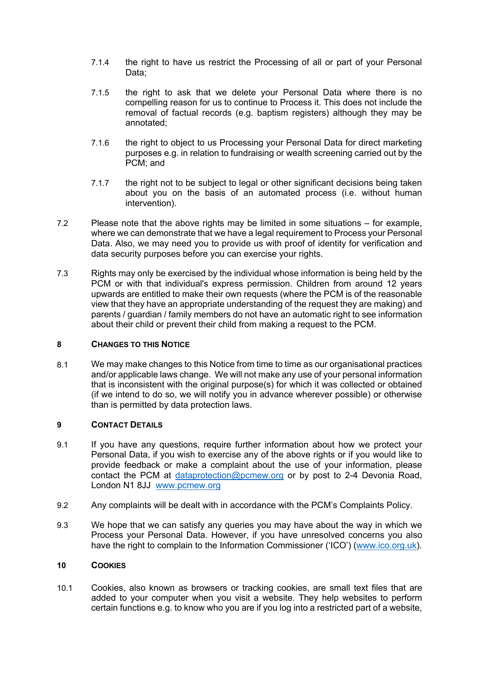- 7.1.4 the right to have us restrict the Processing of all or part of your Personal Data;
- 7.1.5 the right to ask that we delete your Personal Data where there is no compelling reason for us to continue to Process it. This does not include the removal of factual records (e.g. baptism registers) although they may be annotated;
- 7.1.6 the right to object to us Processing your Personal Data for direct marketing purposes e.g. in relation to fundraising or wealth screening carried out by the PCM; and
- 7.1.7 the right not to be subject to legal or other significant decisions being taken about you on the basis of an automated process (i.e. without human intervention).
- 7.2 Please note that the above rights may be limited in some situations for example, where we can demonstrate that we have a legal requirement to Process your Personal Data. Also, we may need you to provide us with proof of identity for verification and data security purposes before you can exercise your rights.
- 7.3 Rights may only be exercised by the individual whose information is being held by the PCM or with that individual's express permission. Children from around 12 years upwards are entitled to make their own requests (where the PCM is of the reasonable view that they have an appropriate understanding of the request they are making) and parents / guardian / family members do not have an automatic right to see information about their child or prevent their child from making a request to the PCM.

#### **8 CHANGES TO THIS NOTICE**

8.1 We may make changes to this Notice from time to time as our organisational practices and/or applicable laws change. We will not make any use of your personal information that is inconsistent with the original purpose(s) for which it was collected or obtained (if we intend to do so, we will notify you in advance wherever possible) or otherwise than is permitted by data protection laws.

# **9 CONTACT DETAILS**

- 9.1 If you have any questions, require further information about how we protect your Personal Data, if you wish to exercise any of the above rights or if you would like to provide feedback or make a complaint about the use of your information, please contact the PCM at dataprotection@pcmew.org or by post to 2-4 Devonia Road, London N1 8JJ www.pcmew.org
- 9.2 Any complaints will be dealt with in accordance with the PCM's Complaints Policy.
- 9.3 We hope that we can satisfy any queries you may have about the way in which we Process your Personal Data. However, if you have unresolved concerns you also have the right to complain to the Information Commissioner ('ICO') (www.ico.org.uk).

#### **10 COOKIES**

10.1 Cookies, also known as browsers or tracking cookies, are small text files that are added to your computer when you visit a website. They help websites to perform certain functions e.g. to know who you are if you log into a restricted part of a website,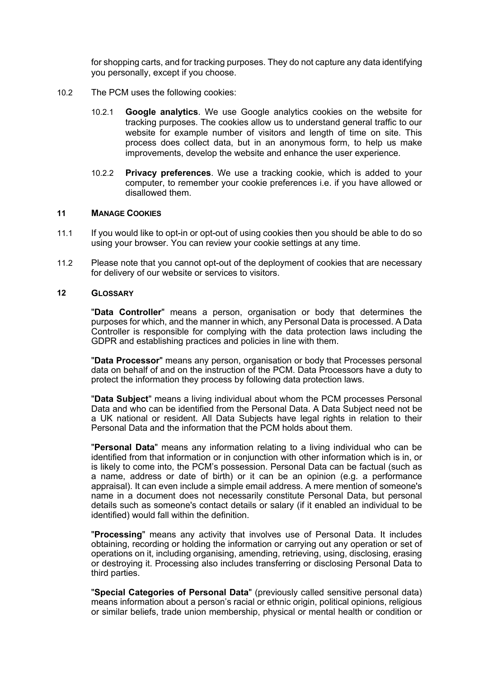for shopping carts, and for tracking purposes. They do not capture any data identifying you personally, except if you choose.

- 10.2 The PCM uses the following cookies:
	- 10.2.1 **Google analytics**. We use Google analytics cookies on the website for tracking purposes. The cookies allow us to understand general traffic to our website for example number of visitors and length of time on site. This process does collect data, but in an anonymous form, to help us make improvements, develop the website and enhance the user experience.
	- 10.2.2 **Privacy preferences**. We use a tracking cookie, which is added to your computer, to remember your cookie preferences i.e. if you have allowed or disallowed them.

#### **11 MANAGE COOKIES**

- 11.1 If you would like to opt-in or opt-out of using cookies then you should be able to do so using your browser. You can review your cookie settings at any time.
- 11.2 Please note that you cannot opt-out of the deployment of cookies that are necessary for delivery of our website or services to visitors.

#### **12 GLOSSARY**

"**Data Controller**" means a person, organisation or body that determines the purposes for which, and the manner in which, any Personal Data is processed. A Data Controller is responsible for complying with the data protection laws including the GDPR and establishing practices and policies in line with them.

"**Data Processor**" means any person, organisation or body that Processes personal data on behalf of and on the instruction of the PCM. Data Processors have a duty to protect the information they process by following data protection laws.

"**Data Subject**" means a living individual about whom the PCM processes Personal Data and who can be identified from the Personal Data. A Data Subject need not be a UK national or resident. All Data Subjects have legal rights in relation to their Personal Data and the information that the PCM holds about them.

"**Personal Data**" means any information relating to a living individual who can be identified from that information or in conjunction with other information which is in, or is likely to come into, the PCM's possession. Personal Data can be factual (such as a name, address or date of birth) or it can be an opinion (e.g. a performance appraisal). It can even include a simple email address. A mere mention of someone's name in a document does not necessarily constitute Personal Data, but personal details such as someone's contact details or salary (if it enabled an individual to be identified) would fall within the definition.

"**Processing**" means any activity that involves use of Personal Data. It includes obtaining, recording or holding the information or carrying out any operation or set of operations on it, including organising, amending, retrieving, using, disclosing, erasing or destroying it. Processing also includes transferring or disclosing Personal Data to third parties.

"**Special Categories of Personal Data**" (previously called sensitive personal data) means information about a person's racial or ethnic origin, political opinions, religious or similar beliefs, trade union membership, physical or mental health or condition or